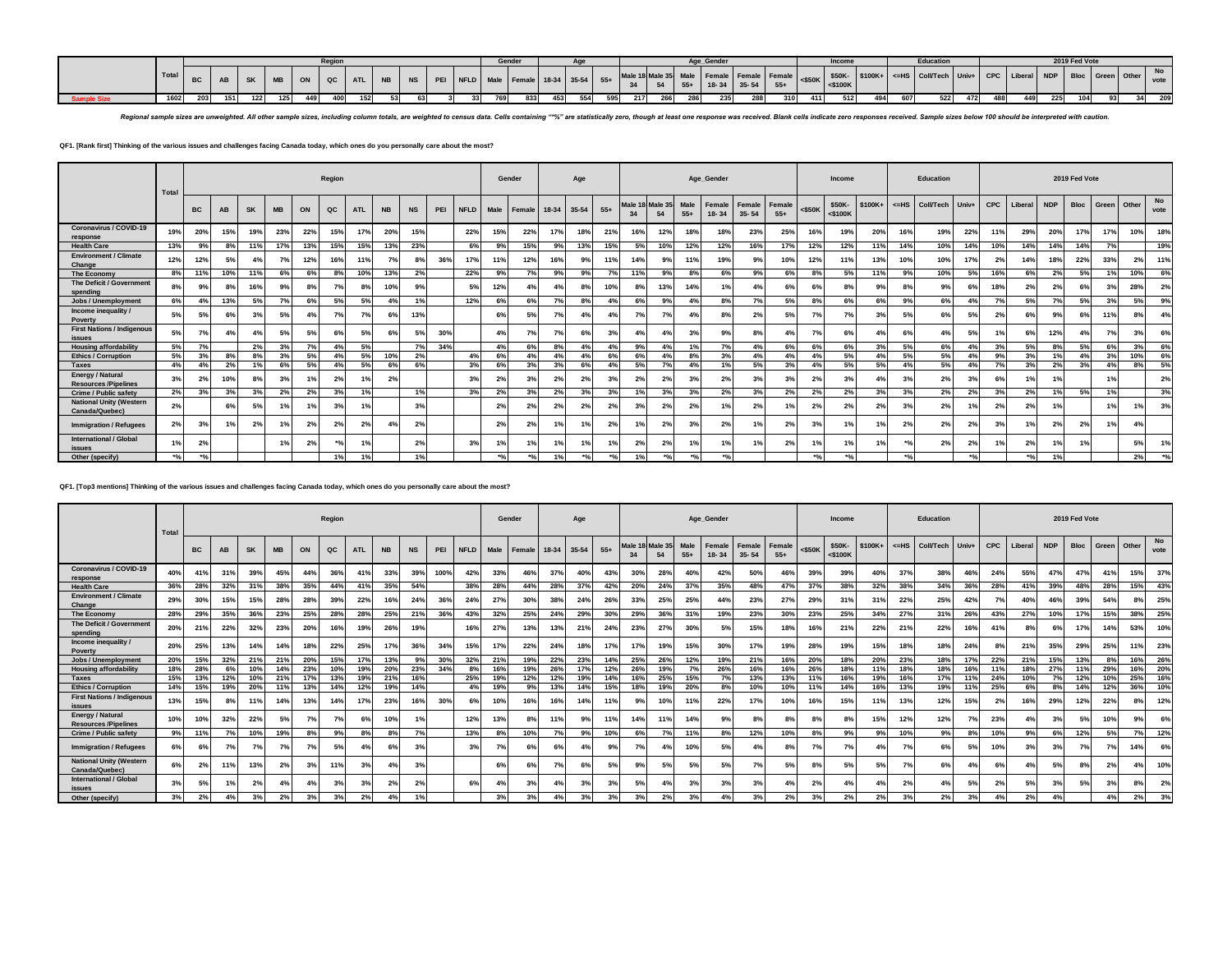|       |     | ON QC ATL NB NS PEI NFLD Male Female 18-34 35-54 55+ 1"<br>SK   MB |     |     |     |  |     |  |     |  |  |     | Gender |     |     |     |     |     |     |     |     | Incom |     |     | Educati                                                                                                              |     |     |     |     | 2019 Fed Vote |     |     |
|-------|-----|--------------------------------------------------------------------|-----|-----|-----|--|-----|--|-----|--|--|-----|--------|-----|-----|-----|-----|-----|-----|-----|-----|-------|-----|-----|----------------------------------------------------------------------------------------------------------------------|-----|-----|-----|-----|---------------|-----|-----|
| Total |     |                                                                    |     |     |     |  |     |  |     |  |  |     |        |     |     |     |     |     |     |     |     |       |     |     |                                                                                                                      |     |     |     |     |               |     |     |
|       |     |                                                                    |     |     |     |  |     |  |     |  |  |     |        |     |     |     |     |     |     |     |     |       |     |     | Male 18 Male 35 Male Female Female Female 450K SSOK STOOK+ <= HS CONTech Univ+ CPC Liberal NDP Bloc Green Other vol. |     |     |     |     |               |     |     |
| 1602  | 203 | 151                                                                | 122 | 125 | 449 |  | 152 |  | 631 |  |  | 769 | 833    | 453 | 554 | 595 | 217 | 266 | 235 | 310 | 411 | 512   | 434 | 607 | 522                                                                                                                  | 472 | 488 | 449 | 225 |               | 931 | 209 |

Regional sample sizes are unweighted. All other sample sizes, including column totals, are weighted to census data. Cells containing "%" are statistically zero, though at least one response was received. Blank cells indica

# **QF1. [Rank first] Thinking of the various issues and challenges facing Canada today, which ones do you personally care about the most?**

|                                                  | Total |        |     | Region<br>QC<br><b>NS</b><br><b>SK</b><br><b>MB</b><br><b>NB</b><br>PEI<br>AB<br>ON<br><b>ATL</b><br>23%<br>15%<br>19%<br>22%<br>15%<br>17%<br>20%<br>15%<br>17%<br>15%<br>15%<br>13%<br>23%<br>8%<br>11%<br>13%<br>5%<br>36%<br>7%<br>12%<br>16%<br>11%<br>7%<br>8%<br>4%<br>10%<br>10%<br>13%<br>2%<br>11%<br>6%<br>8%<br>6%<br>16%<br>9%<br>$7^\circ$<br>8%<br>10%<br>9%<br>8%<br>8%<br>13%<br>5%<br>7%<br>6%<br>5%<br>5%<br>4%<br>1% |    |    |                      |    |     |     |     |             |                    | Gender         |       | Age       |                           |              |                |                    | Age_Gender          |                     |                 |           | Income                  |          |       | Education        |                  |            |                           |                | 2019 Fed Vote |       |       |            |
|--------------------------------------------------|-------|--------|-----|------------------------------------------------------------------------------------------------------------------------------------------------------------------------------------------------------------------------------------------------------------------------------------------------------------------------------------------------------------------------------------------------------------------------------------------|----|----|----------------------|----|-----|-----|-----|-------------|--------------------|----------------|-------|-----------|---------------------------|--------------|----------------|--------------------|---------------------|---------------------|-----------------|-----------|-------------------------|----------|-------|------------------|------------------|------------|---------------------------|----------------|---------------|-------|-------|------------|
|                                                  |       | BC     |     |                                                                                                                                                                                                                                                                                                                                                                                                                                          |    |    |                      |    |     |     |     | <b>NFLD</b> | Male               | Female         | 18-34 | $35 - 54$ | $55+$                     | Male 1<br>34 | Male 35<br>54  | Male<br>$55+$      | Female<br>$18 - 34$ | Female<br>$35 - 54$ | Female<br>$55+$ | $<$ \$50K | \$50K-<br>$<$ \$100 $K$ | $$100K+$ | $=HS$ | <b>Coll/Tech</b> | Univ+            | <b>CPC</b> | Liberal                   | <b>NDP</b>     | <b>Bloc</b>   | Green | Other | No<br>vote |
| <b>Coronavirus / COVID-19</b><br>response        | 19%   | 20%    |     |                                                                                                                                                                                                                                                                                                                                                                                                                                          |    |    |                      |    |     |     |     | 22%         | 15%                | 22%            | 17%   | 18%       | 21%                       | 16%          | 12%            | 18%                | 18%                 | 23%                 | 25%             | 16%       | 19%                     | 20%      | 16%   | 19%              | 22%              |            | 29%                       | 20%            | 17%           | 17%   | 10%   | 18%        |
| <b>Health Care</b>                               | 13%   | 9%     |     |                                                                                                                                                                                                                                                                                                                                                                                                                                          |    |    |                      |    |     |     |     | 6%          | 9%                 | 15%            | 9%    | 13%       | 15%                       | 5%           | 10%            | 12%                | 12%                 | 16%                 | 17%             | 12%       | 12%                     | 11%      | 14%   | 10%              | 14%              | 10%        | 14%                       | 14%            | 14%           | 7%    |       | 19%        |
| <b>Environment / Climate</b><br>Change           | 12%   | 12%    |     |                                                                                                                                                                                                                                                                                                                                                                                                                                          |    |    |                      |    |     |     |     | 17%         | 11%                | 12%            | 16%   | 9%        | 11%                       | 14%          | 9%             | 11%                | 19%                 | 9%                  | 10%             | 12%       | 11%                     | 13%      | 10%   | 10%              | 17%              | 2%         | 14%                       | 18%            | 22%           | 33%   | 2%    | 11%        |
| The Economy                                      | 8%    | 11%    |     |                                                                                                                                                                                                                                                                                                                                                                                                                                          |    |    |                      |    |     |     |     | 22%         | 9%                 | 7%             | 9%    | 9%        | 7%                        |              | 9%             | 8%                 | 6%                  | 9%                  | 6%              | 8%        | 5%                      | 11%      | 9%    | 10%              | 5%               | 16%        | 6%                        | 2%             | 5%            | 1%    | 10%   | 6%         |
| The Deficit / Government<br>spendina             | 8%    | 9%     |     |                                                                                                                                                                                                                                                                                                                                                                                                                                          |    |    |                      |    |     |     |     | 5%          | 12%                | 4 <sup>o</sup> | 4%    | 8%        | 10%                       | 8%           | 13%            | 14%                | 1%                  | 4%                  | 6%              | 6%        |                         | 9%       |       | 9%               | 6%               | 18%        | 2%                        | 2%             | 6%            |       | 28%   | 2%         |
| Jobs / Unemployment                              | 6%    | 4%     |     |                                                                                                                                                                                                                                                                                                                                                                                                                                          |    |    |                      |    |     |     |     | 12%         | 6%                 | 6%             | 7%    | 8%        | 4%                        | 6%           | 9%             | 4%                 | 8%                  | 7%                  | 5%              | 8%        | 6%                      | 6%       | 9%    | 6%               | 4%               | 7%         | 5%                        | 7%             | 5%            | 3%    | 5%    | 9%         |
| Income inequality /<br>Poverty                   | 5%    | 5%     | 6%  | 3%                                                                                                                                                                                                                                                                                                                                                                                                                                       | 5% | 4% | 7%                   | 7% | 6%  | 13% |     |             | 6%                 | 5%             | 7%    | 4%        | 4%                        | 7%           | 7%             | 4%                 | 8%                  | 2%                  | 5%              | 7%        | 7%                      | 3%       | 5%    | 6%               | 5%               | 2%         | 6%                        | 9%             | 6%            | 11%   | 8%    | 4%         |
| <b>First Nations / Indigenous</b><br>issues      | 5%    | 7%     | 4%  | 4%                                                                                                                                                                                                                                                                                                                                                                                                                                       | 5% |    | 6%                   | 5% |     | 5%  | 30% |             | 4%                 | 7%             | 7%    | 6%        | 3%                        | 4%           | 4 <sup>o</sup> | 3%                 | 9%                  | 8°                  | 4%              | 7%        |                         | 4%       |       | 4%               | 5%               |            | 6%                        | 12%            | 4%            | 7%    | 3%    | 6%         |
| <b>Housing affordability</b>                     | 5%    | 7%     |     | 2%                                                                                                                                                                                                                                                                                                                                                                                                                                       | 3% | 7% | 4%                   | 5% |     | 7%  | 34% |             | 4%                 | 6%             | 8%    | 4%        | 4%                        | 9%           | 4%             | 1%                 | 7%                  | 4%                  | 6%              | 6%        | 6%                      | 3%       | 5%    | 6%               | 4%               | 3%         | 5%                        | 8%             | 5%            | 6%    | 3%    | 6%         |
| <b>Ethics / Corruption</b>                       | 5%    | 3%     | 8%  | 8%                                                                                                                                                                                                                                                                                                                                                                                                                                       | 3% | 5% | $\mathbf{A}^{\circ}$ | 5% | 10% | 2%  |     | $4^{\circ}$ | 6%                 | 4%             | 4%    | 4%        | 6%                        | 6%           | 4%             | 8%                 | 3%                  | 4%                  | 4%              | 4%        | 5%                      | 4%       | 5%    | 5%               | 4%               | 9%         | 3%                        | 10/            | 4%            | 3%    | 10%   | 6%         |
| <b>Taxes</b>                                     | 4%    | 4%     | 2%  | 1%                                                                                                                                                                                                                                                                                                                                                                                                                                       | 6% | 5% | 4%                   | 5% | 6%  | 6%  |     | 3%          | 6%                 | 3%             | 3%    | 6%        | 4%                        | 5%           | 7%             | 4%                 | 1%                  | 5%                  | 3%              | $4^\circ$ | 5%                      | 5%       | 4%    | 5%               | 4%               | 7%         | 3%                        | 2%             | 3%            | 4%    | 8%    | 5%         |
| Energy / Natural<br><b>Resources /Pipelines</b>  | 3%    | 2%     | 10% | 8%                                                                                                                                                                                                                                                                                                                                                                                                                                       | 3% | 1% | 2%                   | 1% | 2%  |     |     | 3%          | 2%                 | 3%             | 2%    | 2%        | 3%                        | 2%           | 2%             | 3%                 | 2%                  | 3%                  | 3%              | 2%        | 3%                      | 4%       | 3%    | 2%               | 3%               | 6%         | 1%                        | 1%             |               | 1%    |       | 2%         |
| Crime / Public safety                            | 2%    | 3%     | 3%  | 3%                                                                                                                                                                                                                                                                                                                                                                                                                                       | 2% | 2% | 3%                   | 1% |     | 1%  |     | 3%          | 2%                 | 3%             | 2%    | 3%        | 3%                        | 1%           | 3%             | 3%                 | 2%                  | 3%                  | 2%              | 2%        | 2%                      | 3%       | 3%    | 2%               | 2%               | 3%         | 2%                        | 1%             | 5%            | 1%    |       | 3%         |
| <b>National Unity (Western</b><br>Canada/Quebec) | 2%    |        | 6%  | 5%                                                                                                                                                                                                                                                                                                                                                                                                                                       | 1% | 1% | 3%                   | 1% |     | 3%  |     |             | 2%                 | 2%             | 2%    | 2%        | 2%                        | 3%           | 2%             | 2%                 | 1%                  | 2%                  | 1%              | 2%        | 2%                      | 2%       | 3%    | 2%               | 1%               | 2%         | 2%                        | 1%             |               | 1%    | 1%    | 3%         |
| <b>Immigration / Refugees</b>                    | 2%    | 3%     | 1%  | 2%                                                                                                                                                                                                                                                                                                                                                                                                                                       | 1% | 2% | 2 <sup>o</sup>       | 2% | 4%  | 2%  |     |             | 2%                 | 2 <sup>o</sup> | 1%    |           | 2%                        |              | 2%             | 3%                 | 2%                  |                     | 2%              | 3%        |                         | 1%       | 2%    | 2%               | 2%               |            |                           | 2%             | 2%            | 1%    | 4%    |            |
| International / Global<br>issues                 | 1%    | 2%     |     |                                                                                                                                                                                                                                                                                                                                                                                                                                          | 1% | 2% | $+0$                 | 1% |     | 2%  |     | 3%          | 1%                 | 1%             | 1%    | 1%        | 1%                        | 2%           | 2%             | 1%                 | 1%                  | 1%                  | 2%              |           | 1%                      | 1%       | $*o$  | 2%               | 2%               |            | 2%                        | 1 <sup>9</sup> | 1%            |       | 5%    | 1%         |
| Other (specify)                                  | $*91$ | $+0/2$ |     |                                                                                                                                                                                                                                                                                                                                                                                                                                          |    |    | 1%                   | 1% |     | 1%  |     |             | $*$ <sup>o</sup> / | $*$            | 1%    | $*o$      | $*$ <sup>o</sup> / $\sim$ | 1%           | $*o$           | $*$ <sup>o</sup> / | $*$ <sup>o</sup> /- |                     |                 | $+0$      | $*0/$                   |          | $*21$ |                  | $*$ <sup>o</sup> |            | $*$ <sup>o</sup> / $\sim$ | 1%             |               |       | 2%    | $*$ o      |

**QF1. [Top3 mentions] Thinking of the various issues and challenges facing Canada today, which ones do you personally care about the most?**

|                                                  | Total |           | Region<br><b>SK</b><br>$_{\rm QC}$<br><b>NB</b><br><b>MB</b><br>ON<br><b>NS</b><br>PEI<br>AB<br><b>ATL</b><br>39%<br>45%<br>39%<br>31%<br>36%<br>41%<br>33%<br>100%<br>42%<br>44%<br>32%<br>38%<br>35%<br>38%<br>31%<br>35%<br>44%<br>41%<br>54%<br>15%<br>15%<br>28%<br>39%<br>22%<br>36%<br>28%<br>24%<br>24%<br>16%<br>35%<br>36%<br>23%<br>28%<br>28%<br>25%<br>25%<br>21%<br>36%<br>43% |     |     |     |     |                |                |     |     |             |      | Gender     |       | Age            |       |               |                |               | Age Gender          |                            |                 |            | Income                  |          |        | Education        |       |            |         |                 | 2019 Fed Vote |       |       |            |
|--------------------------------------------------|-------|-----------|----------------------------------------------------------------------------------------------------------------------------------------------------------------------------------------------------------------------------------------------------------------------------------------------------------------------------------------------------------------------------------------------|-----|-----|-----|-----|----------------|----------------|-----|-----|-------------|------|------------|-------|----------------|-------|---------------|----------------|---------------|---------------------|----------------------------|-----------------|------------|-------------------------|----------|--------|------------------|-------|------------|---------|-----------------|---------------|-------|-------|------------|
|                                                  |       | <b>BC</b> |                                                                                                                                                                                                                                                                                                                                                                                              |     |     |     |     |                |                |     |     | <b>NFLD</b> | Male | Female     | 18-34 | 35-54          | $55+$ | Male 18<br>34 | Male 3<br>54   | Male<br>$55+$ | Female<br>$18 - 34$ | <b>Female</b><br>$35 - 54$ | Female<br>$55+$ | $<$ \$50K  | \$50K-<br>$<$ \$100 $K$ | $$100K+$ | $=$ HS | <b>Coll/Tech</b> | Univ+ | <b>CPC</b> | Liberal | <b>NDP</b>      | <b>Bloc</b>   | Green | Other | No<br>vote |
| <b>Coronavirus / COVID-19</b><br>response        | 40%   | 41%       |                                                                                                                                                                                                                                                                                                                                                                                              |     |     |     |     |                |                |     |     |             | 33%  | 46%        | 37%   | 40%            | 43%   | 30%           | 28%            | 40%           | 42%                 | 50%                        | 46%             | 39%        | 39%                     | 40%      | 37%    | 38%              | 46%   | 24%        | 55%     | 47%             | 47%           | 41%   | 15%   | 37%        |
| <b>Health Care</b>                               | 36%   | 28%       |                                                                                                                                                                                                                                                                                                                                                                                              |     |     |     |     |                |                |     |     |             | 28%  | 44%        | 28%   | 37%            | 42%   | 20%           | 24%            | 37%           | 35%                 | 48%                        | 47%             | 37%        | 38%                     | 32%      | 38%    | 34%              | 36%   | 28%        | 41%     | 39%             | 48%           | 28%   | 15%   | 43%        |
| <b>Environment / Climate</b><br>Change           | 29%   | 30%       |                                                                                                                                                                                                                                                                                                                                                                                              |     |     |     |     |                |                |     |     |             | 27%  | 30%        | 38%   | 24%            | 26%   | 33%           | 25%            | 25%           | 44%                 | 23%                        | 27%             | 29%        | 31%                     | 31%      | 22%    | 25%              | 42%   | 7%         | 40%     | 46%             | 39%           | 54%   | 8%    | 25%        |
| The Economy                                      | 28%   | 29%       |                                                                                                                                                                                                                                                                                                                                                                                              |     |     |     |     |                |                |     |     |             | 32%  | 25%        | 24%   | 29%            | 30%   | 29%           | 36%            | 31%           | 19%                 | 23%                        | 30%             | 23%        | 25%                     | 34%      | 27%    | 31%              | 26%   | 43%        | 27%     | 10%             | 17%           | 15%   | 38%   | 25%        |
| The Deficit / Government<br>spendina             | 20%   | 21%       | 22%                                                                                                                                                                                                                                                                                                                                                                                          | 32% | 23% | 20% | 16% | 19%            | 26%            | 19% |     | 16%         | 27%  | 13%        | 13%   | 21%            | 24%   | 23%           | 27%            | 30%           | 5%                  | 15%                        | 18%             | 16%        | 21%                     | 22%      | 21%    | 22%              | 16%   | 41%        | 8%      | 6%              | 17%           | 14%   | 53%   | 10%        |
| Income inequality /<br>Poverty                   | 20%   | 25%       | 13%                                                                                                                                                                                                                                                                                                                                                                                          | 14% | 14% | 18% | 22% | 25%            | 17%            | 36% | 34% | 15%         | 17%  | 22%        | 24%   | 18%            | 17%   | 17%           | 19%            | 15%           | 30%                 | 17%                        | 19%             | 28%        | 19%                     | 15%      | 18%    | 18%              | 24%   | 8%         | 21%     | 35%             | 29%           | 25%   | 11%   | 23%        |
| Jobs / Unemployment                              | 20%   | 15%       | 32%                                                                                                                                                                                                                                                                                                                                                                                          | 21% | 21% | 20% | 15% | 17%            | 13%            | 9%  | 30% | 32%         | 21%  | 19%        | 22%   | 23%            | 14%   | 25%           | 26%            | 12%           | 19%                 | 21%                        | 16%             | <b>20%</b> | 18%                     | 20%      | 23%    | 18%              | 17%   | 22%        | 21%     | 15 <sup>°</sup> | 13%           | 8%    | 16%   | 26%        |
| <b>Housing affordability</b>                     | 18%   | 28%       | 6%                                                                                                                                                                                                                                                                                                                                                                                           |     | 14% | 23% | 10% | 19%            | 20%            | 23% | 34% | 8°          | 16%  | 19%        | 26%   | 17%            | 12%   | 26%           | 19%            | 7%            | 26%                 | 16%                        | 16%             | 26%        | 18%                     | 11%      | 18%    | 18%              | 16%   | 11%        | 18%     | 27%             | 11%           | 29%   | 16%   | 20%        |
| <b>Taxes</b>                                     | 15%   | 13%       | 12%                                                                                                                                                                                                                                                                                                                                                                                          |     | 21% |     | 13% | 19%            | 21%            | 16% |     | 25%         | 19%  | 12%        | 12%   | 19%            | 14%   | 16%           | 25%            | 15%           | 7%                  | 13%                        | 13%             | 11%        | 16%                     | 19%      | 16%    | 17%              | 11%   | 24%        | 10%     | 70              | 12%           | 10%   | 25%   | 16%        |
| <b>Ethics / Corruption</b>                       | 14%   | 15%       | 19%                                                                                                                                                                                                                                                                                                                                                                                          | 20% | 11% | 13% | 14% | 12%            | 19%            | 14% |     | 4%          | 19%  | 9%         | 13%   | 14%            | 15%   | 18%           | 19%            | 20%           | 8%                  | 10%                        | 10%             | 11%        | 14%                     | 16%      | 13%    | 19%              | 11%   | 25%        | 6%      |                 | 14%           | 12%   | 36%   | 10%        |
| <b>First Nations / Indigenous</b><br>issues      | 13%   | 15%       | 8%                                                                                                                                                                                                                                                                                                                                                                                           | 11% | 14% | 13% | 14% | 17%            | 23%            | 16% | 30% | 6%          | 10%  | <b>16%</b> | 16%   | 14%            | 11%   | 9%            | 10%            | 11%           | 22%                 | 17%                        | 10%             | 16%        | 15%                     | 11%      | 13%    | 12%              | 15%   | 2%         | 16%     | 29%             | 12%           | 22%   | 8%    | 12%        |
| Energy / Natural<br><b>Resources /Pipelines</b>  | 10%   | 10%       | 32%                                                                                                                                                                                                                                                                                                                                                                                          | 22% | 5%  |     | 7%  | 6%             | 10%            | 1%  |     | 12%         | 13%  | 8%         | 11%   | 9%             | 11%   | 14%           | 11%            | 14%           | 9%                  | 8%                         |                 | 8%         | 8%                      | 15%      | 12%    | 12%              | 7%    | 23%        | 4%      | 3%              | 5%            | 10%   | 9%    | 6%         |
| Crime / Public safety                            | 9%    | 11%       | 7%                                                                                                                                                                                                                                                                                                                                                                                           |     | 19% | 8%  | 9%  | 8%             | 8%             | 7%  |     | 13%         | 8%   | 10%        | 7%    | 9%             | 10%   | 6%            | 7%             | 11%           | 8%                  | 12%                        | 10%             | 8%         | 9%                      | 9%       | 10%    | 9%               | 89    | 10%        | 9%      | 6%              | 12%           | 5%    | 7%1   | 12%        |
| <b>Immigration / Refugees</b>                    | 6%    | 6%        | 7%                                                                                                                                                                                                                                                                                                                                                                                           | 7%  | 7%  |     | 5%  | 4%             | 6%             | 3%  |     | 3%          | 7%   | 6%         | 6%    | 4%             | 9%    | 7%            | 4%             | 10%           | 5%                  | 4%                         |                 | 7%         | 7%                      | 4%       | 7%     | 6%               | 5%    | 10%        | 3%      | 3%              | 7%            | 7%    | 14%   | 6%         |
| <b>National Unity (Western</b><br>Canada/Quebec) | 6%    | 2%        | 11%                                                                                                                                                                                                                                                                                                                                                                                          | 13% | 2%  |     | 11% | 3%             | 4 <sup>c</sup> | 3%  |     |             | 6%   | 6%         | 7%    | 6%             | 5%    | 9%            | 5%             | 5%            | 5%                  | 7%                         | 5%              | 8%         | 5%                      | 5%       | 7°/    | 6%               | 4%    | 6%         | 4%      | 5%              | 8%            |       | 4%    | 10%        |
| International / Global<br>issues                 | 3%    | 5%        | 1 <sub>0</sub>                                                                                                                                                                                                                                                                                                                                                                               | 2%  | 4%  |     |     | 3 <sup>o</sup> | 2 <sup>°</sup> | 2%  |     | 6%          | 4%   | 3%         | 4%    | 3 <sup>°</sup> | 3%    | 5%            | 4 <sup>°</sup> | 3%            | 3%                  | 3%                         |                 | 2%         |                         |          | 2%     | 4                | 5%    | 2%         | 5%      | 3 <sup>°</sup>  | 5%            |       | 8%    | 2%         |
| Other (specify)                                  | 3%    | 2%        | 4%                                                                                                                                                                                                                                                                                                                                                                                           | 3%  | 2%  | 3%  | 3%  | 2%             | 4%             | 1%  |     |             | 3%   | 3%         | 4%    | 3%             | 3%    | 3%            | 2%             | 3%            | 4%                  | 3%                         | 2%              | 3%         | 2%                      | 2%       | 3%     | 2%               | 3%    | 4%         | 2%      | 4%              |               | 4%    | 2%    | 3%         |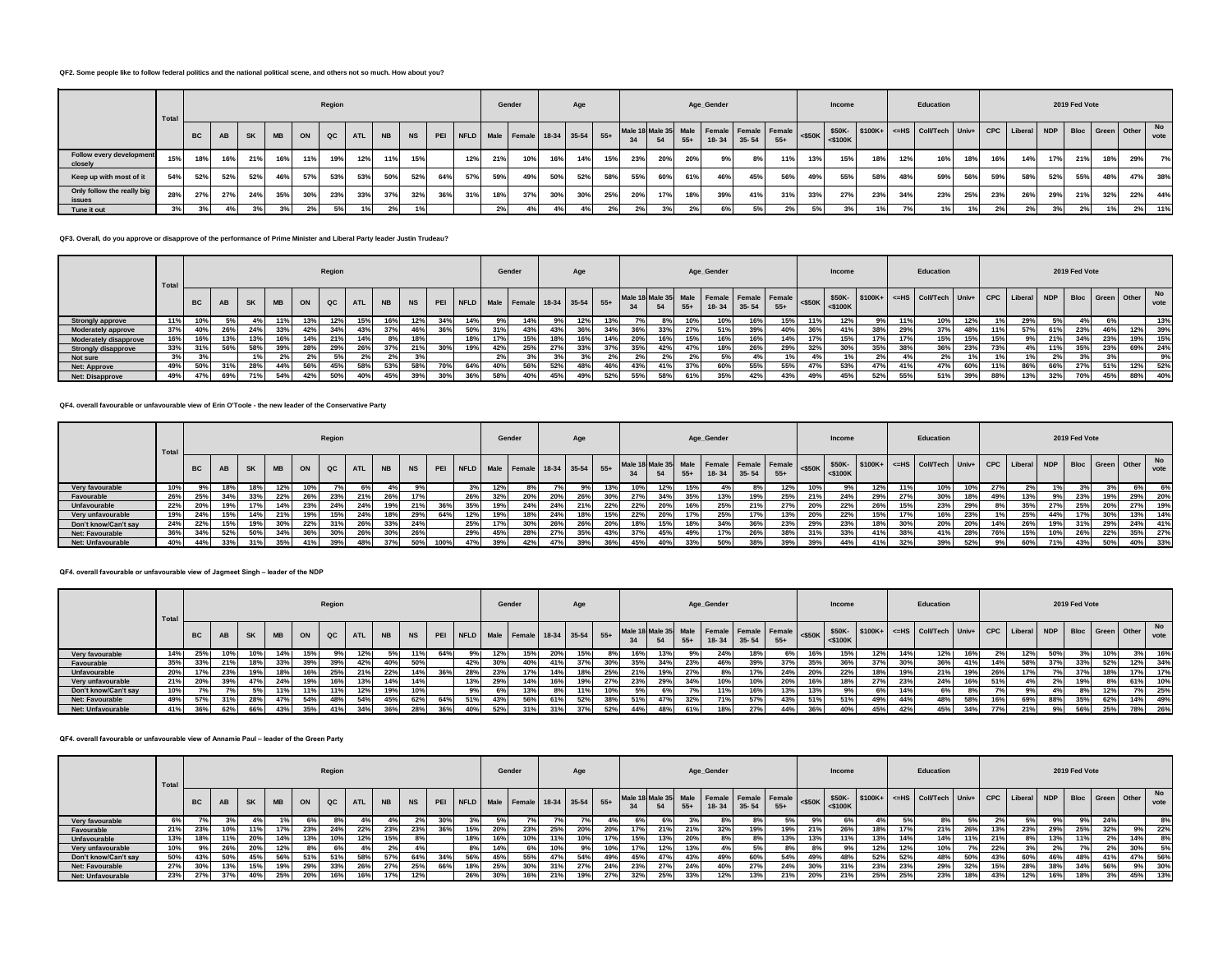#### **QF2. Some people like to follow federal politics and the national political scene, and others not so much. How about you?**

|                                      | Total |     | Region<br>PEI NFLD Male Female 18-34 35-54 55+<br>QC<br><b>SK</b><br><b>ATL</b><br><b>MB</b><br>ON<br><b>NS</b><br>AB<br><b>NB</b> |     |     |     |     |     |     |     |     |     |     | Gender |     | Age |     |     |     |       | Age_Gender |             |                                                            |           | Income     |     |     | Education                                                                                |     |     |     |     | 2019 Fed Vote |     |     |            |
|--------------------------------------|-------|-----|------------------------------------------------------------------------------------------------------------------------------------|-----|-----|-----|-----|-----|-----|-----|-----|-----|-----|--------|-----|-----|-----|-----|-----|-------|------------|-------------|------------------------------------------------------------|-----------|------------|-----|-----|------------------------------------------------------------------------------------------|-----|-----|-----|-----|---------------|-----|-----|------------|
|                                      |       | BC  |                                                                                                                                    |     |     |     |     |     |     |     |     |     |     |        |     |     |     |     |     | $55+$ |            | 18-34 35-54 | Male 18 Male 35 Male   Female   Female   Female  <br>$55+$ | $<$ \$50K | $<$ \$100K |     |     | \$50K-   \$100K+   <=HS   Coll/Tech   Univ+   CPC   Liberal   NDP   Bloc   Green   Other |     |     |     |     |               |     |     | No<br>vote |
| Follow every development<br>closely  | 15%   | 18% | 16%                                                                                                                                | 21% | 16% | 11% | 19% | 12% | 11% | 15% |     | 12% | 21% | 10%    | 16% | 14% | 15% | 23% | 20% | 20%   | 9%         | 8%          | 11%                                                        | 13%       | 15%        | 18% | 12% | 16%                                                                                      | 18% | 16% | 14% | 17% | 21%           | 18% | 29% | 7%         |
| Keep up with most of it              | 54%   | 52% | 52%                                                                                                                                | 52% | 46% | 57% | 53% | 53% | 50% | 52% | 64% | 57% | 59% | 49%    | 50% | 52% | 58% | 55% | 60% | 61%   | 46%        | 45%         | 56%                                                        | 49%       | 55%        | 58% | 48% | 59%                                                                                      | 56% | 59% | 58% | 52% | 55%           | 48% | 47% | 38%        |
| Only follow the really big<br>issues | 28%   | 27% | 27%                                                                                                                                | 24% | 35% | 30% | 23% | 33% | 37% | 32% | 36% | 31% | 18% | 37%    | 30% | 30% | 25% | 20% | 17% | 18%   | 39%        | 41%         | 31%                                                        | 33%       | 27%        | 23% | 34% | 23%                                                                                      | 25% | 23% | 26% | 29% | 21%           | 32% | 22% | 44%        |
| Tune it out                          | 3%    | 3%  |                                                                                                                                    |     |     | 2%1 | 5%  |     |     |     |     |     | 2%  |        |     |     |     |     |     |       | 6%         |             |                                                            |           |            |     |     |                                                                                          |     |     |     |     |               | 1%  | 2%  | 11%        |

## **QF3. Overall, do you approve or disapprove of the performance of Prime Minister and Liberal Party leader Justin Trudeau?**

|                              | Total |           |     |     |           |     | Region        |            |           |           |              |     |     | Gender                           |     | Age |     |     |     |     | Age_Gender |     |                                                                                                              |     | Income |     |     | Education                                                          |     |     |     |     | 2019 Fed Vote |     |     |            |
|------------------------------|-------|-----------|-----|-----|-----------|-----|---------------|------------|-----------|-----------|--------------|-----|-----|----------------------------------|-----|-----|-----|-----|-----|-----|------------|-----|--------------------------------------------------------------------------------------------------------------|-----|--------|-----|-----|--------------------------------------------------------------------|-----|-----|-----|-----|---------------|-----|-----|------------|
|                              |       | <b>BC</b> | AB  |     | <b>MB</b> | ON  | $_{\alpha c}$ | <b>ATL</b> | <b>NB</b> | <b>NS</b> | PEI          |     |     | NFLD Male Female 18-34 35-54 55+ |     |     |     |     |     |     |            |     | Male 18 Male 35 Male Female Female Female $\left  \begin{array}{cc} 5.54 & 5.50 \end{array} \right $ = \$50K |     |        |     |     | S50K- S100K+ <=HS Coll/Tech Univ+ CPC Liberal NDP Bloc Green Other |     |     |     |     |               |     |     | No<br>vote |
| <b>Strongly approve</b>      | 11%   | 10%       |     |     | 11%       | 13% | 12%           | 15%        | 16%       | 12%       | -347         | 14% |     | 14%                              |     | 12% | 13% |     |     | 10% | 10%        | 16% | 15%                                                                                                          | 11% | 12%    |     | 11% | 10%                                                                | 12% |     | 29% | En/ |               |     |     | 13%        |
| Moderately approve           | 37%   | 40%       | 26% | 24% | 33%       |     | 34%           | 43%        | 37%       | 46%       | 200/<br>-36% | 50% | 31% | 43%                              | 43% | 36% | 34% | 36% | 33% | 27% | 51%        | 39% | 40%                                                                                                          | 36% |        | 38% | 29% | 37%                                                                | 48% | 11% | 57% | 61% | 23%           | 46% | 12% | 39%        |
| <b>Moderately disapprove</b> | 16%   | 16%       | 13% | 13% | 16%       |     | 21%           | 14%        | 8%        | 18%       |              | 18% | 17% | 15%                              | 18% | 16% | 14% | 20% | 16% | 15% | 16%        | 16% | 14%                                                                                                          | 17% | 15%    | 17% | 17% | 15%                                                                | 15% | 15% | 9%  | 21% | 34%           | 23% | 19% | 15%        |
| <b>Strongly disapprove</b>   | 33%   | 31%       | 56% | 58% | 39%       |     | 29%           | 26%        | 37%       | 21%       | 30%          | 19% | 42% | 25%                              | 27% | 33% | 37% | 35% |     | 47% | 18%        | 26% | 29%                                                                                                          | 32% | 30%    | 35% | 38% | 36%                                                                | 23% | 73% | 4%  | 11% | 35%           | 23% | 69% | 24%        |
| Not sure                     | 3%    |           |     |     | 2%        |     |               | 2%         | 2%        | 3%        |              |     |     |                                  |     |     |     | 2%  |     | 2%  | En/        |     |                                                                                                              |     |        | 270 | 4%  | 47                                                                 |     |     |     |     |               |     |     | 9%         |
| <b>Net: Approve</b>          | 49%   | 50%       | 31% | 28% | 44%       | 56% | 45%           | 58%        | 53%       | 58%       | 70%          | 64% | 40% | 56%                              | 52% | 48% | 46% | 43% |     | 37% | 60%        | 55% | 55%                                                                                                          | 47% | 53%    | 47% | 41% | 47%                                                                | 60% | 11% | 86% | 66% | 27%           | 51% | 12% | 52%        |
| <b>Net: Disapprove</b>       | 49%   | 47%       | 69% |     | 54%       | 42% | 50%           | 40%        | 45%       | 39%       | 30%          | 36% | 58% | 40%                              | 45% | 49% | 52% | 55% | 58% | 61% | 35%        | 42% | 43%                                                                                                          | 49% | 45%    | 52% | 55% | 51%                                                                | 39% | 88% | 13% |     | 70%           | 45% | 88% | 40%        |

#### **QF4. overall favourable or unfavourable view of Erin O'Toole - the new leader of the Conservative Party**

|                          | Total |           |           |           |             |            | Region        |       |           |           |     |     |     | Gender                           |     | Age |     |     |     |       | Age_Gender  |      |                                                            |           | Income     |     |     | Education                                                                                |     |     |     |     | 2019 Fed Vote |     |     |                   |
|--------------------------|-------|-----------|-----------|-----------|-------------|------------|---------------|-------|-----------|-----------|-----|-----|-----|----------------------------------|-----|-----|-----|-----|-----|-------|-------------|------|------------------------------------------------------------|-----------|------------|-----|-----|------------------------------------------------------------------------------------------|-----|-----|-----|-----|---------------|-----|-----|-------------------|
|                          |       | <b>BC</b> | <b>AB</b> | <b>SK</b> | <b>MB</b>   | ON         | $_{\alpha c}$ | ATL I | <b>NB</b> | <b>NS</b> | PEI |     |     | NFLD Male Female 18-34 35-54 55+ |     |     |     |     | 54  | $55+$ | 18-34 35-54 |      | Male 18 Male 35 Male   Female   Female   Female  <br>$55+$ | $<$ \$50K | $<$ \$100K |     |     | \$50K-   \$100K+   <=HS   Coll/Tech   Univ+   CPC   Liberal   NDP   Bloc   Green   Other |     |     |     |     |               |     |     | <b>No</b><br>vote |
| Very favourable          | 10%   | 9%        | 18%       | 18%       | 12%         |            |               | 6%    |           |           |     |     | 12% |                                  |     |     | 13% | 10% | 12% | 15%   |             |      | l2%                                                        | 10%       |            | 2%  | 11% | 10%                                                                                      | 10% |     |     |     |               |     | 6%  | 6%                |
| Favourable               | 26%   | 25%       | 34%       | 33%       | 22%         | <b>26°</b> | 23%           | 21%   | 26%       | 17%       |     | 26% | 32% | 20%                              | 20% | 26% | 30% | 27% | 34% | 35%   | 13%         | 19%  | 25%                                                        | 219       | 24%        | 29% | 27% | 30%                                                                                      | 18% | 49% | 13% |     | 23%           | 19% | 29% | 20%               |
| Unfavourable             | 22%   | 20%       | 19%       |           | 14%         | 23%        | 24%           | 24%   |           | 21%       |     |     | 19% | 24%                              | 24% | 21% | 22% | 22% | 20% | 16%   | 25%         | 21%  |                                                            | 20%       | 22%        | 26% | 15% | 23%                                                                                      |     |     | 35% | 27% | 25%           | 20% | 27% | 19%               |
| Very unfavourable        | 19%   | 24%       | 15%       | 14%       | 0.40<br>21% | 19%        | 15%           | 24%   |           | 29%       | 64% | 12% | 19% | 18%                              | 24% | 18% | 15% | 22% | 20% | 17%   | 25%         |      | 13%                                                        | 20%       | 22%        | 15% | 17% | 16%                                                                                      | 23% |     | 25% | 44% | 17%           | 30% | 13% | 14%               |
| Don't know/Can't say     | 24%   | 22%       | 15%       | 19%       | 30%         | 22%        | 31%           | 26%   | 33%       | 24%       |     | 25% | 17% | 30%                              | 26% | 26% | 20% | 18% | 15% | 18%   | 34%         | 36%  | 23%                                                        | 29%       | 23%        | 18% | 30% | 20%                                                                                      | 20% | 14% | 26% | 19% | 31%           | 29% | 24% | 41%               |
| Net: Favourable          | 36%   | 34%       | 52%       | 50%       | 34%         | 36%        | 30%           | 26%   | 30%       | 26%       |     | 29% | 45% | 28%                              | 27% | 35% | 43% | 37% | 45% | 49%   | 17%         | 26%  | 38%                                                        | 240       | 33%        | 41% | 38% | 41%                                                                                      | 28% | 76% | 15% | 10% | 26%           | 22% | 35% | 27%               |
| <b>Net: Unfavourable</b> | 40%   | 44%       | 33%       |           | 35%         | 41%        | 39%           | 48%   |           | 50%       |     | 47% | 39% | 42%                              | 47% | 39% |     | 45% | 40% | 33%   | 50%         | 200/ | 39%                                                        | 39%       | 44%        | 41% | 32% | 39%                                                                                      | 52% |     | 60% | 71% | 43%           | 50% | 40% | 33%               |

## **QF4. overall favourable or unfavourable view of Jagmeet Singh – leader of the NDP**

|                      | Total |           |           |     |           |     | Region      |            |           |           |     |     |     | Gender                           |     | Age |     |     |     |       | Age_Gender |           |                                                          |                             | Income     |     |     | Education                                           |       |     |     |            | 2019 Fed Vote    |     |     |            |
|----------------------|-------|-----------|-----------|-----|-----------|-----|-------------|------------|-----------|-----------|-----|-----|-----|----------------------------------|-----|-----|-----|-----|-----|-------|------------|-----------|----------------------------------------------------------|-----------------------------|------------|-----|-----|-----------------------------------------------------|-------|-----|-----|------------|------------------|-----|-----|------------|
|                      |       | <b>BC</b> | <b>AB</b> |     | <b>MB</b> | ON  | $_{\rm QC}$ | <b>ATL</b> | <b>NB</b> | <b>NS</b> | PEI |     |     | NFLD Male Female 18-34 35-54 55+ |     |     |     |     |     | $55+$ | $18 - 34$  | $35 - 54$ | Male 18 Male 35 Male   Female   Female   Female<br>$55+$ | $\leq$ = $\frac{250K}{100}$ | $<$ \$100K |     |     | $$50K $100K+$ $\leq$ HS Coll/Tech Univ+ CPC Liberal |       |     |     | <b>NDP</b> | Bloc Green Other |     |     | No<br>vote |
| Very favourable      | 14%   | 25%       | 10%       | 10% | 14%       | 15% |             | 12%        | 5%        | 11%       | 64% |     | 12% | 15%                              | 20% | 15% | 8%  | 16% | 13% |       | 24%        | 18%       | 6% l                                                     |                             | 15%        | 12% | 14% | 12%                                                 | 16%   | 2%  | 12% | 50%        |                  | 10% | 3%  | 16%        |
| Favourable           | 35%   | 33%       | 21%       | 18% | -337      | 39% | 39%         | 42%        |           | 50%       |     | 42% | 30% | 40%                              | 41% | 37% | 30% | 35% | 34% | 23%   | 46%        | 39%       | 37%                                                      | 35%                         | 36%        | 37% |     | 36%                                                 |       | 14% | 58% | 37%        | 33%              | 52% | 12% | 34%        |
| Unfavourable         | 20%   | 17%       | 23%       | 19% | 18%       | 16% | 25%         | 21%        | 22%       | 14%       | 36% | 28% | 23% | 17%                              | 14% | 18% | 25% | 21% | 19% | 27%   |            | 17%       | 24%                                                      | 20%                         | 22%        | 18% | 19% | 21%                                                 | 19%   | 26% | 17% | 7%         | 37%              | 18% | 17% | 17%        |
| Very unfavourable    | 21%   | 20%       | 39%       | 47% | 24%       | 19% | 16%         | 13%        | 14%       | 14%       |     | 13% | 29% | 14%                              | 16% | 19% | 27% | 23% | 29% | 34%   | 10%        | 10%       | 20%                                                      | 16%                         | 18%        | 27% | 23% | 24%                                                 | 16%   | 51% | 4%  | 2%         | 19%              |     | 61% | 10%        |
| Don't know/Can't say | 10%   |           |           | 5%  | 11%       | 11% | 11%         | 12%        | 19%       | 10%       |     |     | 6%  | 13%                              |     | 11% | 10% |     |     |       | 11%        | 16%       | 13%                                                      |                             | 9%         | 6%  | 14% | 6%                                                  | $8\%$ |     |     | 4%         |                  | 12% | 7%  | 25%        |
| Net: Favourable      | 49%   | 57%       | 31%       | 28% | 47%       | 54% | 48%         | 54%        | 45%       | 62%       | 64% | 51% | 43% | 56%                              | 61% | 52% | 38% | 51% | 47% | 32%   | 71%        | 57%       | 43%                                                      | 51%                         | 51%        | 49% | 44% | 48%                                                 | 58%   | 16% | 69% | 88%        | 35%              | 62% | 14% | 49%        |
| Net: Unfavourable    | 41%   | 36%       | 62%       | 66% | 43%       | 35% | 41%         | 34%        | 36%       | 28%       | 36% | 40% | 52% | 31%                              | 31% | 37% | 52% | 44% | 48% | 61%   | 18%        | 27%       | 44%                                                      |                             | 40%        | 45% |     | 45%                                                 | 34%   | 77% | 21% | 9%         | 56%              | 25% | 78% | 26%        |

#### **QF4. overall favourable or unfavourable view of Annamie Paul – leader of the Green Party**

|                          | Total |           |     |           |           |            | Region      |            |           |           |     |     |     | Gender                           |     | Age |       |     |     |     | Age_Gender     |           |                                                            |                 | Income     |     |     | Education                                                          |     |     |     |     | 2019 Fed Vote |                  |     |            |
|--------------------------|-------|-----------|-----|-----------|-----------|------------|-------------|------------|-----------|-----------|-----|-----|-----|----------------------------------|-----|-----|-------|-----|-----|-----|----------------|-----------|------------------------------------------------------------|-----------------|------------|-----|-----|--------------------------------------------------------------------|-----|-----|-----|-----|---------------|------------------|-----|------------|
|                          |       | <b>BC</b> | AB  | <b>SK</b> | <b>MB</b> | ON         | $_{\alpha}$ | <b>ATL</b> | <b>NB</b> | <b>NS</b> | PEI |     |     | NFLD Male Female 18-34 35-54 55+ |     |     |       |     | 54  |     | $55 + 18 - 34$ | $35 - 54$ | Male 18 Male 35 Male   Female   Female   Female  <br>$55+$ | $\leq$ 50K      | $<$ \$100K |     |     | \$50K-   \$100K+   <= HS   Coll/Tech   Univ+   CPC   Liberal   NDP |     |     |     |     |               | Bloc Green Other |     | No<br>vote |
| Very favourable          |       |           |     | 4%        |           |            |             | 4%         |           | $2\%$     |     |     |     |                                  |     |     | $4\%$ |     |     |     |                |           |                                                            |                 |            | 4%  |     | $8\%$                                                              |     |     |     | 9%  |               | 24%              |     | 8%         |
| Favourable               | 21%   | 23%       | 10% |           | 17%       | 23%        | 24%         | 22%        | 23%       | 23%       | 36% | 15% | 20% | 23%                              | 25% | 20% | 20%   | 17% | 21% | 21% | 32%            | 19%       | 19%                                                        | 21 <sup>°</sup> |            | 18% | 17% | 21%                                                                | 26% | 13% | 23% | 29% | 25%           | 32%              | 9%  | 22%        |
| Unfavourable             | 13%   | 18%       | 11% | 20%       | 14%       | 13%        | 10%         | 12%        | 15%       |           |     | 18% | 16% | 10%                              | 11% | 10% | 17%   | 15% | 13% | 20% |                | 8%        | 13%                                                        | 13%             | 11%        | 13% | 14% | 14%                                                                | 11% | 21% |     | 13% | 11%           | 2%               | 14% | 8%         |
| Very unfavourable        | 10%   | 9%        | 26% | 20%       | 12%       |            | 6%.         | 4%         | 2%        |           |     | 8%  | 14% |                                  | 10% | 9%  | 10%   | 17% | 12% | 13% | 4%             | 5%        | 8%                                                         | 8%              |            | 12% | 12% | 10%                                                                | 7%  | 22% | 20  | 2%  |               | 2%               | 30% | 5%         |
| Don't know/Can't say     | 50%   | 43%       | 50% | 45%       | 56%       | 51%        | 51%         | 58%        | 57%       | 64%       | 34% | 56% | 45% | 55%                              | 47% | 54% | 49%   | 45% | 47% | 43% | 49%            | 60%       | 54%                                                        | 49%             | 48%        | 52% | 52% | 48%                                                                | 50% | 43% | 60% | 46% | 48%           | 41%              | 47% | 56%        |
| Net: Favourable          | 27%   | 30%       | 13% | 15%       | 19%       | 29%        | 33%         | 26%        | 27%       | 25%       | 66% | 18% | 25% | 30%                              | 31% | 27% | 24%   | 23% | 27% | 24% | 40%            | 27%       | 24%                                                        | 30%             |            | 23% | 23% | 29%                                                                | 32% | 15% | 28% | 38% | 34%           | 56%              | 9%  | 30%        |
| <b>Net: Unfavourable</b> | 23%   | 27%       | 37% | 40%       | 25%       | <b>20%</b> | 16%         | 16%        |           | 12%       |     | 26% | 30% | 16%                              | 21% | 19% | 27%   | 32% | 25% | 33% | 12%            | 13%       | 21%                                                        | <b>20%</b>      |            | 25% | 25% | 23%                                                                | 18% | 43% | 12% |     |               | 3%               | 45% | 13%        |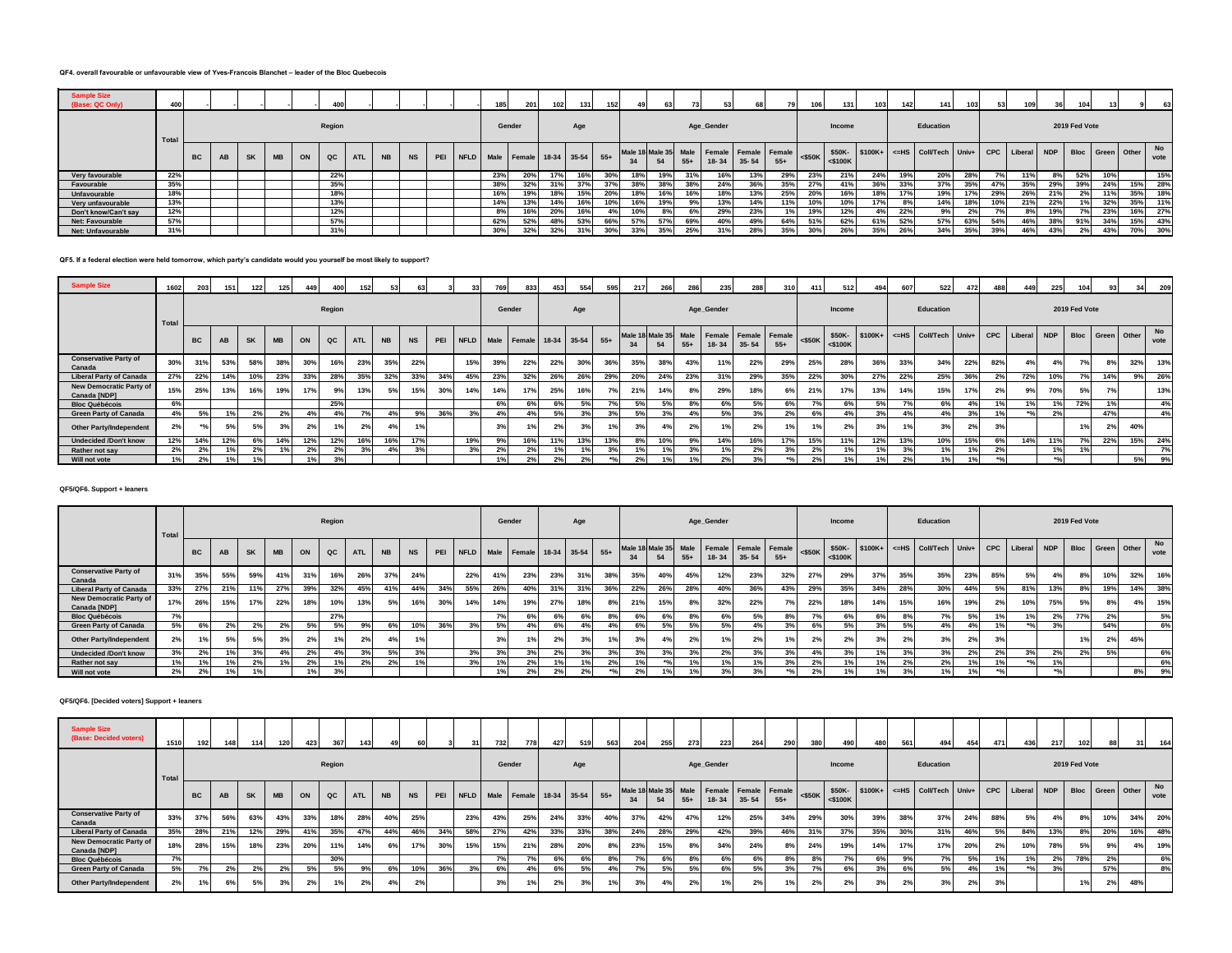# **QF4. overall favourable or unfavourable view of Yves-Francois Blanchet – leader of the Bloc Quebecois**

| <b>Sample Size</b><br>(Base: QC Only) | 400  |    |    |           |           |    | 400             |            |           |           |  | 185 | 201                              | 102 | 131 | 152   | 49  |                       | 731   |            | 68        | 79                                 | 1061         | 131           | 103           | 142 <sub>1</sub> | 141                   | 103 | 53  | 109         | 36         | 104           |     |                  | 63         |
|---------------------------------------|------|----|----|-----------|-----------|----|-----------------|------------|-----------|-----------|--|-----|----------------------------------|-----|-----|-------|-----|-----------------------|-------|------------|-----------|------------------------------------|--------------|---------------|---------------|------------------|-----------------------|-----|-----|-------------|------------|---------------|-----|------------------|------------|
|                                       | Tota |    |    |           |           |    | Region          |            |           |           |  |     | Gender                           |     | Age |       |     |                       |       | Age_Gender |           |                                    |              | Income        |               |                  | Education             |     |     |             |            | 2019 Fed Vote |     |                  |            |
|                                       |      | BC | AB | <b>SK</b> | <b>MB</b> | ON | QC              | <b>ATL</b> | <b>NB</b> | <b>NS</b> |  |     | PEI NFLD Male Female 18-34 35-54 |     |     | $55+$ | 34  | Male 18 Male 35<br>54 | $55+$ | $18 - 34$  | $35 - 54$ | Male Female Female Female<br>$55+$ | $\leq$ \$50K | $<$ \$100 $K$ | \$50K-\$100K+ |                  | <= HS Coll/Tech Univ+ |     |     | CPC Liberal | <b>NDP</b> |               |     | Bloc Green Other | No<br>vote |
| Very favourable                       | 22%  |    |    |           |           |    | 22%             |            |           |           |  | 23% | 20%                              | 17% | 16% | 30%   | 18% | 19%                   | 31%   |            | 13%       | 29%                                | 23%          | 21%           | 24%           | 19%              | 20%                   | 28% |     | 11%         | 8%         | 52%           | 10% |                  | 15%        |
| Favourable                            | 35%  |    |    |           |           |    | 35%             |            |           |           |  | 38% | 32%                              | 31% | 37% | 37%   |     | 38%                   | 38°   | 24%        | 36%       | 35%                                | <b>27°</b>   | 41%           | 36%           | 33%              | 37%                   | 35% | 47% | 35%         | 29%        | 39%           | 24% | 15%              | 28%        |
| Unfavourable                          | 18%  |    |    |           |           |    | 189             |            |           |           |  | 16% | 19%                              | 18% | 15% | 20%   | 18% | 16%                   | 16%   |            | 13%       | 25%                                | 20%          | 16%           | 18%           |                  | 19%                   | 17% | 29% | 26%         | 21%        | 2%            | 11% | 35%              | 18%        |
| Very unfavourable                     | 13%  |    |    |           |           |    | 13%             |            |           |           |  | 14% | 13%                              | 14% | 16% | 10%   | 16% | 19%                   | 9%    | 13%        | 14%       | 11%                                | 10%          | 10%           | 17%           |                  | 14%                   | 18% | 10% | 21%         | 22%        |               | 32% | 35%              | 11%        |
| Don't know/Can't say                  | 12%  |    |    |           |           |    | 12%             |            |           |           |  | 8%  | 16%                              | 20% | 16% | 4%    | 10% |                       | -6%   | 29%        | 23%       | 1%1                                | 19%          | 12%           | 4%            | 22%              | 9%                    | 2%  |     | 8%          | 19%        |               | 23% | 16%              | 27%        |
| Net: Favourable                       | 57%  |    |    |           |           |    | 57%             |            |           |           |  | 62% | 52%                              | 48% | 53% | 66%   | 57% | 57%                   | 69%   | 40%        | 49%       | 64%                                | 51%          | 62%           | 61%           | 52%              | 57%                   | 63% | 54% | 46%         | 38%        | 91%           | 34% | 15%              | 43%        |
| Net: Unfavourable                     | 31%  |    |    |           |           |    | 31 <sup>°</sup> |            |           |           |  | 30% | 32%                              | 32% | 31% | 30%   | 33% | 35%                   | 25%   |            | 28%       | 35%                                | 30%          | 26%           | 35%           | 26%              | 34%                   | 35% | 39% | 46%         | 43%        | 2%            | 43% | 70%              | 30%        |

#### **QF5. If a federal election were held tomorrow, which party's candidate would you yourself be most likely to support?**

| <b>Sample Size</b>                             | 1602  | 203             | 151 | 122 | 125       | 449 | 400         |            | 53        |           |     | 33  | 769 | 833                          | 453 | 554 | 595   | 217 | 266                        | 28    | 235        | 288       | 310                           | 411        | 512     | 494 | 607 | 522                                              | 472 | 48  | 449   | 225        | 104           |     | 34               | 209        |
|------------------------------------------------|-------|-----------------|-----|-----|-----------|-----|-------------|------------|-----------|-----------|-----|-----|-----|------------------------------|-----|-----|-------|-----|----------------------------|-------|------------|-----------|-------------------------------|------------|---------|-----|-----|--------------------------------------------------|-----|-----|-------|------------|---------------|-----|------------------|------------|
|                                                | Total |                 |     |     |           |     | Region      |            |           |           |     |     |     | Gender                       |     | Age |       |     |                            |       | Age_Gender |           |                               |            | Income  |     |     | Education                                        |     |     |       |            | 2019 Fed Vote |     |                  |            |
|                                                |       | <b>BC</b>       | AB  | SK  | <b>MB</b> | ON  | $_{\rm QC}$ | <b>ATL</b> | <b>NB</b> | <b>NS</b> | PEI |     |     | NFLD Male Female 18-34 35-54 |     |     | $55+$ | 34  | Male 18 Male 35 Male<br>54 | $55+$ | $18 - 34$  | $35 - 54$ | Female Female Female<br>$55+$ | $\leq$ 50K | <\$100K |     |     | \$50K- \$100K+ <= HS Coll/Tech Univ+ CPC Liberal |     |     |       | <b>NDP</b> |               |     | Bloc Green Other | No<br>vote |
| <b>Conservative Party of</b><br>Canada         | 30%   | 319             | 53% | 58% | 38%       | 30% | 16%         | 23%        | 35%       | 22%       |     | 15% | 39% | 22%                          | 22% | 30% | 36%   | 35% | 38%                        | 43%   | 11%        | 22%       | 29%                           | 25%        | 28%     | 36% | 33% | 34%                                              | 22% | 82% | 4%    | 4%         | 7%            | 8%  | 32%              | 13%        |
| <b>Liberal Party of Canada</b>                 | 27%   | 22%             | 14% | 10% | 23%       | 33% | 28%         | 35%        | 32%       | 33%       | 34% | 45% | 23% | 32%                          | 26% | 26% | 29%   | 20% | 24%                        | 23%   | 319        | 29%       | 35%                           | 22%        | 30%     | 27% | 22% | 25%                                              | 36% | 2%  | 72%   | 10%        |               | 14% | 9%               | 26%        |
| <b>New Democratic Party of</b><br>Canada [NDP] | 15%   | 25%             | 13% | 16% | 19%       | 17% | 9%          | 13%        | 5%        | 15%       | 30% | 14% | 14% | 17%                          | 25% | 16% | 7%    | 21% | 14%                        | 8%    | 29%        | 18%       | 6%                            | 21%        | 17%     | 13% | 14% | 15%                                              | 17% | 2%  | 9%    | 70% i      | 5%            | 70  |                  | 13%        |
| <b>Bloc Québécois</b>                          | 6%    |                 |     |     |           |     | 25%         |            |           |           |     |     | 6%  | 6%                           | 6%  | 5%  | 7%    | EO/ | 5%                         | 8%    | 6%         | 5%        | 6%                            |            | 6% 1    | 5%  |     | 6%                                               |     |     | 1%    | ۱%         | 72%           |     |                  | 4%         |
| <b>Green Party of Canada</b>                   | 4%    | 5%              | 1%  |     | 2%        |     |             |            | 4%        | 9%        | 36% |     | 4%  |                              | 5%  | 3%  |       |     |                            | 4%    | 5%         |           | 2%                            |            | 4%      | 3%  |     | 4%                                               |     |     | $*9/$ |            |               | 47% |                  | 4%         |
| <b>Other Party/Independent</b>                 | 2%    |                 | 5%  |     | 3%        | 2%  |             | 2%         |           |           |     |     | 3%  |                              |     |     | 1%    | 201 |                            | 2%    |            |           | 40 <sub>i</sub>               |            | 2%      | 3%  |     | 3%                                               | 2%  |     |       |            | 1%            | 20I | 40%              |            |
| <b>Undecided /Don't know</b>                   | 12%   | 14 <sup>°</sup> | 12% |     | 14%       | 12% | 12%         | 16%        | 16%       | 17%       |     | 19% | 9%  | 16%                          | 11% | 13% | 13%   | 8%  | 10%                        | 9%    | 14%        | 16%       | 17%                           | 15%        | 11%     | 12% | 13% | 10%                                              | 15% | 6%  | 14%   |            | 7%            | 22% | 15%              | 24%        |
| Rather not say                                 | 2%    | 2%              | 1%  |     | 1%        | 2%  | 2%          | 3%         | 4%        | 3%        |     | 3%  | 2%  | 2%                           |     |     | 3%    | 101 |                            | 3%    |            |           |                               | 2%         | 1%      | 1%  |     | 1%                                               |     | 2%  |       |            | 1%            |     |                  | 7%         |
| Will not vote                                  | 1%    | 2%              | 1%  |     |           |     | 3%          |            |           |           |     |     | 1%  | 2%                           | 2%  | 2%  | $*$ % | 2%  |                            | 1%    | 2%         | 3%        |                               | 2%         | 1%      | 1%  | 2%  | 1%                                               | 401 |     |       | $+0I$      |               |     | 5%               | 9%         |

## **QF5/QF6. Support + leaners**

|                                         | Total |     | Region<br>QC<br><b>SK</b><br><b>MB</b><br>ON<br><b>NB</b><br><b>NS</b><br>PEI<br>NFLD Male Female 18-34 35-54<br>AB<br><b>ATL</b><br>59%<br>55%<br>41%<br>26%<br>22%<br>31%<br>16%<br>37%<br>24% |     |     |     |     |                |     |     |     |     |     | Gender |     | Age |       |     |     |       | Age_Gender     |           |                                                            |           | Income               |     |     | Education                                 |     |     |                    |            | 2019 Fed Vote |             |     |            |
|-----------------------------------------|-------|-----|--------------------------------------------------------------------------------------------------------------------------------------------------------------------------------------------------|-----|-----|-----|-----|----------------|-----|-----|-----|-----|-----|--------|-----|-----|-------|-----|-----|-------|----------------|-----------|------------------------------------------------------------|-----------|----------------------|-----|-----|-------------------------------------------|-----|-----|--------------------|------------|---------------|-------------|-----|------------|
|                                         |       | BC  |                                                                                                                                                                                                  |     |     |     |     |                |     |     |     |     |     |        |     |     | $55+$ | 34  | 54  | $55+$ | $18 - 34$      | $35 - 54$ | Male 18 Male 35 Male   Female   Female   Female  <br>$55+$ | $<$ \$50K | \$50K-<br>$<$ \$100K |     |     | \$100K+ <= HS Coll/Tech Univ+ CPC Liberal |     |     |                    | <b>NDP</b> | <b>Bloc</b>   | Green Other |     | No<br>vote |
| <b>Conservative Party of</b><br>Canada  | 31%   | 35% |                                                                                                                                                                                                  |     |     |     |     |                |     |     |     |     | 41% | 23%    | 23% | 31% | 38%   | 35% | 40% | 45%   | 12%            | 23%       | 32%                                                        | 27%       | 29%                  | 37% | 35% | 35%                                       | 23% | 85% | 5%                 | 4%         | 8%            | 10%         | 32% | 16%        |
| <b>Liberal Party of Canada</b>          | 33%   | 27% | 21%                                                                                                                                                                                              | 11% | 27% | 39% | 32% | 45%            | 41% | 44% | 34% | 55% | 26% | 40%    | 31% | 31% | 36%   | 22% | 26% | 28%   | 40%            | 36%       | 43%                                                        | 29%       | 35%                  | 34% | 28% | 30%                                       | 44% | 5%  | 81%                | 13%        | 8%            | 19%         | 14% | 38%        |
| New Democratic Party of<br>Canada [NDP] | 17%   | 26% | 15%                                                                                                                                                                                              | 17% | 22% | 18% | 10% | 13%            | 5%  | 16% | 30% | 14% | 14% | 19%    | 27% | 18% | 8%    | 21% | 15% | 8%    | 32%            | 22%       | 7%                                                         | 22%       | 18%                  | 14% | 15% | 16%                                       | 19% | 2%  | 10%                | 75%        | 5%            | 8%          |     | 15%        |
| <b>Bloc Québécois</b>                   | 7%    |     |                                                                                                                                                                                                  |     |     |     | 27% |                |     |     |     |     | 7%  | 6%     | 6%  | 6%  |       | 6%  | 6%  | 8%    | 6%             | 5%.       | 8%                                                         | 70        | 6%                   | 6%  |     | 7%                                        | 5%  | 1%  | 1%                 | 2%         | <b>77%</b>    | 2%          |     | 5%         |
| <b>Green Party of Canada</b>            | 5%    | 6%  | 2%                                                                                                                                                                                               | 2%  | 2%  | 5%  | 5%  | 9%             | 6%  | 10% | 36% | 3%  | 5%  | 4%     | 6%  | 4%  | 4%    | 6%  | 5%  | 5%    | E <sub>0</sub> | 4%        | 3%                                                         | 6%        | 5%                   | 3%  | 5%  | 4%                                        | 4%  | 1%  | $*$ <sup>o</sup> / | 3%         |               | 54%         |     | 6%         |
| <b>Other Party/Independent</b>          | 2%    |     | E0/                                                                                                                                                                                              | 5%  | 3%  | 2%  |     | 2 <sup>o</sup> |     | 1%  |     |     |     |        | æ.  | 3%  | 1%1   | 3%  |     | 2%    | 1%             |           |                                                            |           | 2%                   | 3%  |     | 3%                                        | 2%  | 3%  |                    |            | 10/           | 2%          | 45% |            |
| <b>Undecided /Don't know</b>            | 3%    | 2%  |                                                                                                                                                                                                  | 3%  | 4%  | 2%  |     | 3%             | 5%  | 3%  |     | 3%  | 3%  | 3%     | 2%  | 3%  | 3%    | 3%  |     | 3%    | 2%             | 3%        | 20                                                         | 4%        | 3%1                  | 1%  | 3%  | 3%                                        | 2%  | 2%  | 3%                 | 2%         | 2%            | 5%          |     | 6%         |
| Rather not say                          | 1%    |     |                                                                                                                                                                                                  | 2%  |     | 2%  |     | 2%             | 2%  | 1%  |     | 3%  |     | 2%     |     |     | 2%    |     |     |       |                |           |                                                            |           | $1\%$                | 1%  |     | 2%                                        |     |     |                    |            |               |             |     | 6%         |
| Will not vote                           | 2%    | 2%  |                                                                                                                                                                                                  |     |     |     |     |                |     |     |     |     |     | 2%     |     |     |       | 2%  |     |       |                |           |                                                            |           | $1\%$                | 1%  | 3%  | ι%                                        |     |     |                    |            |               |             | 8%  | 9%         |

#### **QF5/QF6. [Decided voters] Support + leaners**

| <b>Sample Size</b><br>(Base: Decided voters)   | 1510  | 192       | 14  | 114       | 120       | 423 | 367         | 143        |           |           |     | 31  | 732 | 778                                  | 427 | 519 | 563 | 204 | 255 | 273   | 223        | 264       | 290                                                        | 380       | 490        | 480 | 561 | 494                                                  | 454 | 471 | 436 | 217 | 102           | 88  | 31          | 164               |
|------------------------------------------------|-------|-----------|-----|-----------|-----------|-----|-------------|------------|-----------|-----------|-----|-----|-----|--------------------------------------|-----|-----|-----|-----|-----|-------|------------|-----------|------------------------------------------------------------|-----------|------------|-----|-----|------------------------------------------------------|-----|-----|-----|-----|---------------|-----|-------------|-------------------|
|                                                | Total |           |     |           |           |     | Region      |            |           |           |     |     |     | Gender                               |     | Age |     |     |     |       | Age_Gender |           |                                                            |           | Income     |     |     | Education                                            |     |     |     |     | 2019 Fed Vote |     |             |                   |
|                                                |       | <b>BC</b> | AB  | <b>SK</b> | <b>MB</b> | ON  | $_{\rm QC}$ | <b>ATL</b> | <b>NB</b> | <b>NS</b> |     |     |     | PEI NFLD Male Female 18-34 35-54 55+ |     |     |     | 34  | 54  | $55+$ | 18-34      | $35 - 54$ | Male 18 Male 35 Male   Female   Female   Female  <br>$55+$ | $<$ \$50K | $<$ \$100K |     |     | \$50K- \$100K+ <= HS Coll/Tech Univ+ CPC Liberal NDP |     |     |     |     | <b>Bloc</b>   |     | Green Other | <b>No</b><br>vote |
| <b>Conservative Party of</b><br>Canada         | 33%   | 37%       | 56% | 63%       | 43%       | 33% | 18%         | 28%        | 40%       | 25%       |     | 23% | 43% | 25%                                  | 24% | 33% | 40% | 37% | 42% | 47%   | 12%        | 25%       | 34%                                                        | 29%       | 30%        | 39% | 38% | 37%                                                  | 24% | 88% | 5%  | 4%  | 8%            | 10% | 34%         | 20%               |
| <b>Liberal Party of Canada</b>                 | 35%   | 28%       | 21% | 12%       | 29%       | 41% | 35%         | 47%        | 44%       | 46%       | 34% | 58% | 27% | 42%                                  | 33% | 33% | 38% | 24% | 28% | 29%   | 42%        | 39%       | 46%                                                        | 31%       | 37%        | 35% | 30% | 31%                                                  | 46% | 5%  | 84% | 13% | 8%            | 20% | 16%         | 48%               |
| <b>New Democratic Party of</b><br>Canada [NDP] | 18%   | 28%       | 15% | 18%       | 23%       | 20% | 11%         | 14%        | 6%        | 17%       | 30% | 15% | 15% | 21%                                  | 28% | 20% | 8%  | 23% | 15% |       | 34%        | 24%       | 8%                                                         | 24%       | 19%        | 14% | 17% | 17%                                                  | 20% | 2%  | 10% | 78% | 5%            | 9%  | 4%          | 19%               |
| <b>Bloc Québécois</b>                          | 7%    |           |     |           |           |     | 30%         |            |           |           |     |     | 7%  |                                      | 6%  | 6%  |     |     |     | 8%    | 6%         | 6%        | 8%                                                         | 8%        |            | 6%  | 9%  | 7%                                                   | 5%  | 1%  | 1%  | 2%  | 78%           | 2%  |             | 6%                |
| <b>Green Party of Canada</b>                   | 5%    |           | 2%  | 2%1       | 2%        | 5%  | 5%          | 9%         | 6%        | 10%       | 36% | 3%  | 6%  |                                      | 6%  | 5%  | 4%  |     |     | 5%    | 6%         | 5%        | 3%                                                         |           | 6%         | 3%  | 6%  | 5%                                                   | 4%  |     |     |     |               | 57% |             | 8%                |
| <b>Other Party/Independent</b>                 | 2%    |           |     |           |           | 2%  |             | 2%         |           | 2%        |     |     | 20  |                                      | 2%  |     | 1%  |     |     |       |            | 2%        |                                                            |           |            | 3%  | 2%  | 3%                                                   | 2%  | 3%  |     |     |               | 2%  | 48%         |                   |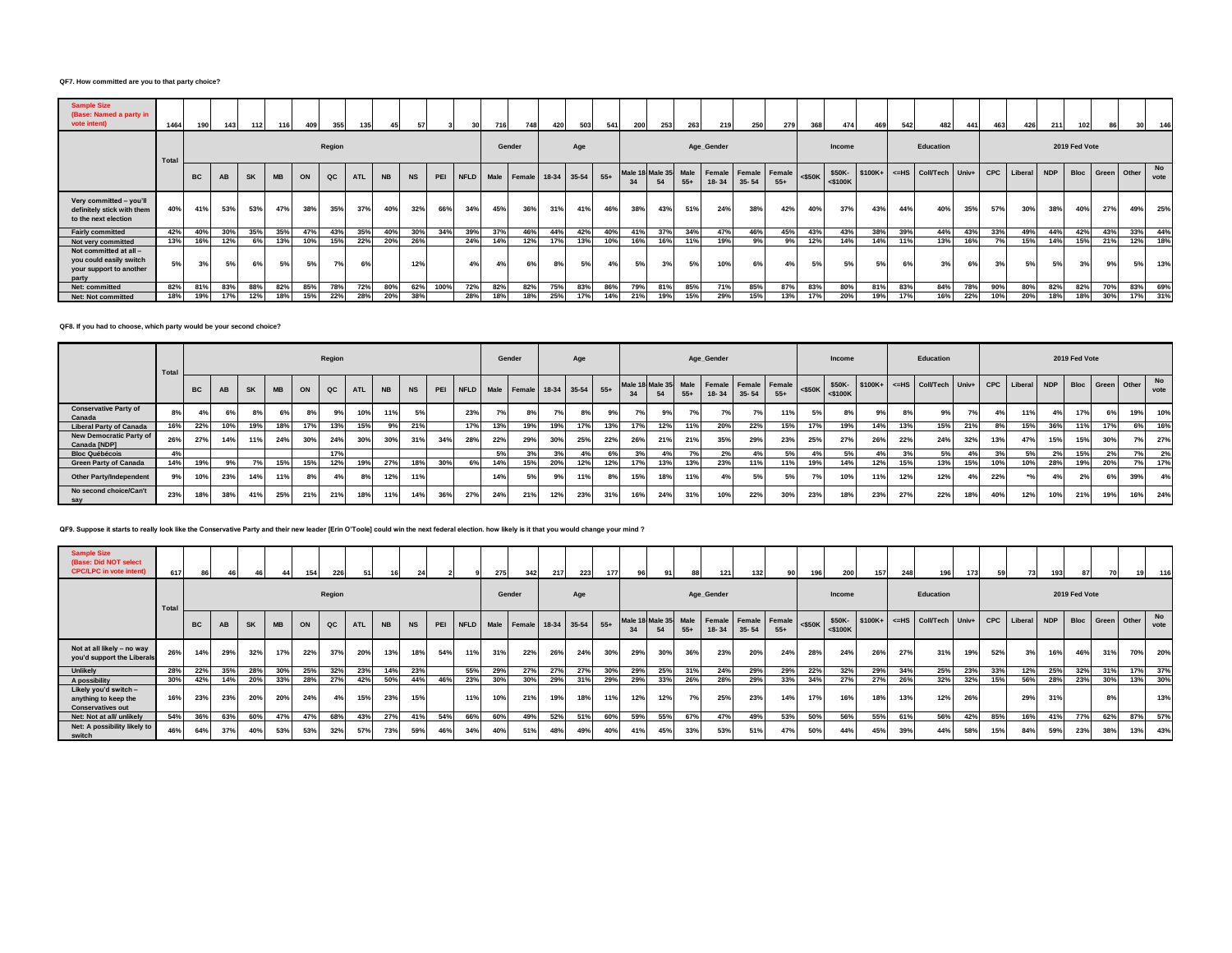#### **QF7. How committed are you to that party choice?**

| <b>Sample Size</b><br>(Base: Named a party in<br>vote intent)                         | 1464  |           | 143 | 112       | 116       | 409 | 355           |            |           |           |      |     | 716    |                  | 420         | 503 | 541   | 200 | 253                        | 263        | 219             | 250       | <b>2791</b>            | 368       |                      |          | 542       | 482              | 441   | 463        | 426         | 211           |             |             |     |            |
|---------------------------------------------------------------------------------------|-------|-----------|-----|-----------|-----------|-----|---------------|------------|-----------|-----------|------|-----|--------|------------------|-------------|-----|-------|-----|----------------------------|------------|-----------------|-----------|------------------------|-----------|----------------------|----------|-----------|------------------|-------|------------|-------------|---------------|-------------|-------------|-----|------------|
|                                                                                       | Total | Region    |     |           |           |     |               |            |           |           |      |     | Gender |                  | Age         |     |       |     |                            | Age_Gender |                 |           |                        | Income    |                      |          | Education |                  |       |            |             | 2019 Fed Vote |             |             |     |            |
|                                                                                       |       | <b>BC</b> | AB  | <b>SK</b> | <b>MB</b> | ON  | $_{\alpha c}$ | <b>ATL</b> | <b>NB</b> | <b>NS</b> | PEI  |     |        | NFLD Male Female | 18-34 35-54 |     | $55+$ |     | Male 18-Male 35 Male<br>54 | $55+$      | Female<br>18-34 | $35 - 54$ | Female Female<br>$55+$ | $<$ \$50K | \$50K-<br>$<$ \$100K | $$100K+$ | $<$ $-HS$ | <b>Coll/Tech</b> | Univ+ | <b>CPC</b> | Liberal NDP |               | <b>Bloc</b> | Green Other |     | No<br>vote |
| Very committed - you'll<br>definitely stick with them<br>to the next election         | 40%   | 41%       | 53% | 53%       | 47%       | 38% | 35%           | 37%        | 40%       | 32%       | 66%  | 34% | 45%    | 36%              | 31%         | 41% | 46%   | 38% | 43%                        | 51%        | 24%             | 38%       | 42%                    | 40%       | 37%                  | 43%      | 44%       | 40%              | 35%   | 57%        | 30%         | 38%           | 40%         | 27%         | 49% | 25%        |
| <b>Fairly committed</b>                                                               | 42%   | 40%       | 30% | 35%       | 35%       | 47% | 43%           | 35%        | 40%       | 30%       | 34%  | 39% | 37%    | 46%              | 44%         | 42% | 40%   | 41% | 37%                        | 34%        | 47%             | 46%       | 45%                    | 43%       | 43%                  | 38%      | 39%       | 44%              | 43%   | 33%        | 49%         | 44%           | 42%         | 43%         | 33% | 44%        |
| Not very committed                                                                    | 13%   | 16%       | 12% | 6%        | 13%       | 10% | 15%           | 22%        | 20%       | 26%       |      | 24% | 14%    | 12%              | 17%         | 13% | 10%   | 16% | 16%                        | 11%        | 19%             | 9%        | 9%                     | 12%       | 14%                  | 14%      | 11%       | 13%              | 16%   | 7%         | 15%         | 14%           | 15%         | 21%         | 12% | 18%        |
| Not committed at all -<br>you could easily switch<br>your support to another<br>party | 5%    | 3%        | 5%  | 6%        | 5%        | 5%  | 7%            | 6%         |           | 12%       |      | 4%  | 4%     | 6%               | 8%          | 5%  | 4%    | 5%  | 3%                         | 5%         | 10%             | 6%        | 4%                     | 5%        | 5%                   | 5%       | 6%        | 3%               | 6%    | 3%         | 5% b        | 5%            | 3%          | 9%          | 5%  | 13%        |
| Net: committed                                                                        | 82%   | 81%       | 83% | 88%       | 82%       | 85% | 78%           | 72%        | 80%       | 62%       | 100% | 72% | 82%    | 82%              | 75%         | 83% | 86%   | 79% | 81%                        | 85%        | 71%             | 85%       | 87%                    | 83%       | 80%                  | 81%      | 83%       | 84%              | 78%   | 90%        | 80%         | 82%           | 82%         | 70%         | 83% | 69%        |
| Net: Not committed                                                                    | 18%   | 19%       | 17% | 12%       | 18%       | 15% | 22%           | 28%        | 20%       | 38%       |      | 28% | 18%    | 18%              | 25%         | 17% | 14%   | 21% | 19%                        | 15%        | 29%             | 15%       | 13%                    | 17%       | 20%                  | 19%      | 17%       | 16%              | 22%   | 10%        | 20%         | 18%           | 18%         | 30%         |     | 31%        |

#### **QF8. If you had to choose, which party would be your second choice?**

|                                                | Total |                 |     |           |           |      | Region |            |           |           |     |            |                | Gender                               |     | Age |     |     |     |       | Age_Gender |                                                                  |       |           | Income     |     |     | Education                                            |     |     |     |     | 2019 Fed Vote |                  |     |            |
|------------------------------------------------|-------|-----------------|-----|-----------|-----------|------|--------|------------|-----------|-----------|-----|------------|----------------|--------------------------------------|-----|-----|-----|-----|-----|-------|------------|------------------------------------------------------------------|-------|-----------|------------|-----|-----|------------------------------------------------------|-----|-----|-----|-----|---------------|------------------|-----|------------|
|                                                |       | <b>BC</b>       | AB  | <b>SK</b> | <b>MB</b> | ON   | QC     | <b>ATL</b> | <b>NB</b> | <b>NS</b> |     |            |                | PEI NFLD Male Female 18-34 35-54 55+ |     |     |     | 34  | 54  | $55+$ |            | Male 18 Male 35 Male   Female   Female   Female<br>$18-34$ 35-54 | $55+$ | $<$ \$50K | $<$ \$100K |     |     | \$50K- \$100K+ <= HS Coll/Tech Univ+ CPC Liberal NDP |     |     |     |     |               | Bloc Green Other |     | No<br>vote |
| <b>Conservative Party of</b><br>Canada         | 8%    |                 | 6%  | 8%        | 6%        | 8%   | 9%     | 10%        | 11%       | 5%        |     | 23%        | 7 <sup>o</sup> |                                      | 7%1 | 8%  | 9%  |     | 9%  | 7%    |            |                                                                  | 11%   | 5%        |            | 9%  | 8%  | 9%                                                   | 7%  | 4%  |     | 4%  | 17%           | 6%               | 19% | 10%        |
| <b>Liberal Party of Canada</b>                 | 16%   | 22%             | 10% | 19%       | 18%       | 17%  | 13%    | 15%        | 9%        | 21%       |     | 17%        | 13%            | 19%                                  | 19% | 17% | 13% | 17% | 12% | 11%   | 20%        | 22%                                                              | 15%   | 17%       | 19%        | 14% | 13% | 15%                                                  | 21% | 8%  | 15% | 36% | 11%           | 17%              | 6%  | 16%        |
| <b>New Democratic Party of</b><br>Canada [NDP] | 26%   | 27%             | 14% | 11%       | 24%       | 30%  | 24%    | 30%        | 30%       | 31%       | 34% | <b>28%</b> | 22%            | 29%                                  | 30% | 25% | 22% | 26% | 21% | 21%   | 35%        | 29%                                                              | 23%   | 25%       | 27%        | 26% | 22% | 24%                                                  | 32% | 13% | 47% | 15% | 15%           | 30%              | 7%1 | 27%        |
| <b>Bloc Québécois</b>                          |       |                 |     |           |           |      | 17%    |            |           |           |     |            | 59             | 3%                                   | 3%  |     | 6%  |     |     |       | 2%         |                                                                  | 5%    |           |            |     |     | 5%                                                   |     | 20I | 50/ | 20I | 15%           | 2%               |     | 2%         |
| <b>Green Party of Canada</b>                   | 14%   | 19%             | 9%  |           | 15%       | 15%  | 12%    | 19%        | 27%       | 18%       | 30% | 6%         | 14%            | 15%                                  | 20% | 12% | 12% | 17% | 13% | 13%   | 23%        |                                                                  | 11%   | 19%       | 14%        | 12% | 15% | 13%                                                  | 15% | 10% | 10% | 28% | 19%           | 20%              |     | 17%        |
| <b>Other Party/Independent</b>                 | 9%    | 10 <sup>%</sup> | 23% | 14%       | 11%       | 8% 1 | 4%     |            | 12%       | 11%       |     |            | 14%            |                                      | 9%  | 11% | 8%  | 15% | 18% | 11%   |            | 5%1                                                              |       |           | 10%        | 11% | 12% | 12%                                                  | 4%  | 22% |     |     |               | 6%               | 39% | 4%         |
| No second choice/Can't<br>say                  | 23%   | 18%             | 38% | 41%       | 25%       | 21%  | 21%    | 18%        | 11%       | 14%       | 36% | 27%        | 24%            | 21%                                  | 12% | 23% | 31% | 16% | 24% | 31%   | 10%        | 22%                                                              | 30%   | 23%       | 18%        | 23% | 27% | 22%                                                  | 18% | 40% | 12% | 10% | 21%           | 19%              | 16% | 24%        |

## **QF9. Suppose it starts to really look like the Conservative Party and their new leader [Erin O'Toole] could win the next federal election. how likely is it that you would change your mind ?**

| <b>Sample Size</b><br>(Base: Did NOT select<br><b>CPC/LPC</b> in vote intent) | 617  |           |     |           | 44        | 154 | 226    | 51         |           | 24        |     |     | 275 | 342                          | 217 | 223 | 177   | 96  |     |       | 121                                        | 132       | 90                     |           | 200                  | 157      | 248 | 196             | 173   | 59         | 73      | 193 | 87            |             | 19  |            |
|-------------------------------------------------------------------------------|------|-----------|-----|-----------|-----------|-----|--------|------------|-----------|-----------|-----|-----|-----|------------------------------|-----|-----|-------|-----|-----|-------|--------------------------------------------|-----------|------------------------|-----------|----------------------|----------|-----|-----------------|-------|------------|---------|-----|---------------|-------------|-----|------------|
|                                                                               | Tota |           |     |           |           |     | Region |            |           |           |     |     |     | Gender                       |     | Age |       |     |     |       | Age_Gender                                 |           |                        |           | Income               |          |     | Education       |       |            |         |     | 2019 Fed Vote |             |     |            |
|                                                                               |      | <b>BC</b> | AB  | <b>SK</b> | <b>MB</b> | ON  | QC     | <b>ATL</b> | <b>NB</b> | <b>NS</b> | PEI |     |     | NFLD Male Female 18-34 35-54 |     |     | $55+$ | 34  | 54  | $55+$ | Male 18 Male 35 Male   Female<br>$18 - 34$ | $35 - 54$ | Female Female<br>$55+$ | $<$ \$50K | \$50K-<br>$<$ \$100K | $$100K+$ |     | <= HS Coll/Tech | Univ+ | <b>CPC</b> | Liberal | NDP | <b>Bloc</b>   | Green Other |     | No<br>vote |
| Not at all likely - no way<br>you'd support the Liberals                      | 26%  | 14%       | 29% | 32%       | 17%       | 22% | 37%    | 20%        | 13%       | 18%       | 54% | 11% | 31% | 22%                          | 26% | 24% | 30%   | 29% | 30% | 36%   | 23%                                        | 20%       | 24%                    | 28%       | 24%                  | 26%      | 27% | 31%             | 19%   | 52%        | 3%      | 16% | 46%           | 31%         | 70% | 20%        |
| Unlikely                                                                      | 28%  | 22%       | 35% | 28%       | 30%       | 25% | 32%    | 23%        | 14%       | 23%       |     | 55% | 29% | 27%                          | 27% | 27% | 30%   | 29% | 25% | 31%   | 24%                                        | 29%       | 29%                    | 22%       | 32%                  | 29%      | 34% | 25%             | 23%   | 33%        | 12%     | 25% | 32%           | 31%         | 17% | 37%        |
| A possibility                                                                 | 30%  | 42%       | 14% | 20%       | 33%       | 28% | 27%    | 42%        | 50%       | 44%       | 46% | 23% | 30% | 30%                          | 29% | 319 | 29%   | 29% | 33% | 26%   | 28%                                        | 29%       | 33%                    | 34%       | 27%                  | 27%      | 26% | 32%             | 32%   | 15%        | 56%     | 28% | 23%           | 30%         | 13% | 30%        |
| Likely you'd switch -<br>anything to keep the<br><b>Conservatives out</b>     | 16%  | 23%       | 23% | 20%       | 20%       | 24% | 4%     | 15%        | 23%       | 15%       |     | 11% | 10% | 21%                          | 19% | 18% | 11%   | 12% | 12% | 7%    | 25%                                        | 23%       | 14%                    | 17%       | 16%                  | 18%      | 13% | 12%             | 26%   |            | 29%     | 31% |               | 8%          |     | 13%        |
| Net: Not at all/ unlikely                                                     | 54%  | 36%       | 63% | 60%       | 47%       | 47% | 68%    | 43%        | 27%       | 41%       | 54% | 66% | 60% | 49%                          | 52% | 51% | 60%   | 59% | 55% | 67%   | 47%                                        | 49%       | 53%                    | 50%       | 56%                  | 55%      | 61% | 56%             | 42%   | 85%        | 16%     | 41% | 77%           | 62%         | 87% | 57%        |
| Net: A possibility likely to<br>switch                                        | 46%  | 64%       | 37% | 40%       | 53%       | 53% | 32%    | 57%        | 73%       | 59%       | 46% | 34% | 40% | 51%                          | 48% | 49% | 40%   | 41% | 45% | 33%   | 53%                                        | 51%       | 47%                    | 50%       | 44%                  | 45%      | 39% | 44%             | 58%   | 15%        | 84%     | 59% | 23%           | 38%         | 13% | 43%        |